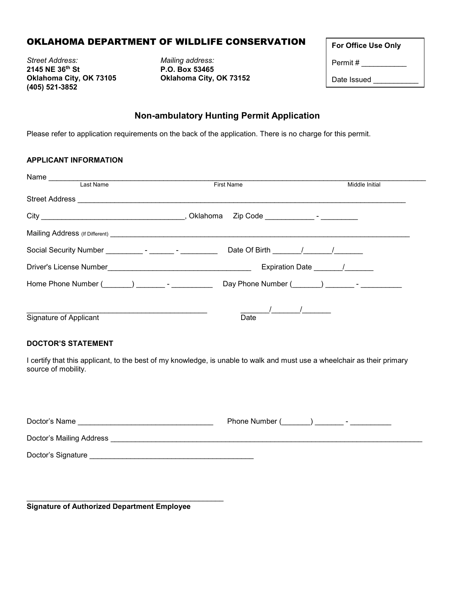# OKLAHOMA DEPARTMENT OF WILDLIFE CONSERVATION

*Street Address: Mailing address:*  **(405) 521-3852**

**2145 NE 36th St P.O. Box 53465 Oklahoma City, OK 73105 Oklahoma City, OK 73152** 

| <b>For Office Use Only</b> |  |
|----------------------------|--|
| Permit #                   |  |
| Date Issued                |  |

### **Non-ambulatory Hunting Permit Application**

Please refer to application requirements on the back of the application. There is no charge for this permit.

### **APPLICANT INFORMATION**

| Last Name                                       | <b>First Name</b>                                                                                              | Middle Initial |
|-------------------------------------------------|----------------------------------------------------------------------------------------------------------------|----------------|
|                                                 |                                                                                                                |                |
|                                                 |                                                                                                                |                |
|                                                 |                                                                                                                |                |
|                                                 | Date Of Birth 1 1                                                                                              |                |
|                                                 | Expiration Date /                                                                                              |                |
| Home Phone Number (Company Company Figure 2014) | Day Phone Number (Company 2014) - The Company of The Company of The Company of The Company of The Company of T |                |
|                                                 |                                                                                                                |                |
| Signature of Applicant                          | Date                                                                                                           |                |

#### **DOCTOR'S STATEMENT**

I certify that this applicant, to the best of my knowledge, is unable to walk and must use a wheelchair as their primary source of mobility.

| Doctor's Name            | Phone Number (<br>- |
|--------------------------|---------------------|
| Doctor's Mailing Address |                     |
| Doctor's Signature       |                     |

\_\_\_\_\_\_\_\_\_\_\_\_\_\_\_\_\_\_\_\_\_\_\_\_\_\_\_\_\_\_\_\_\_\_\_\_\_\_\_\_\_\_\_\_\_\_\_\_ **Signature of Authorized Department Employee**